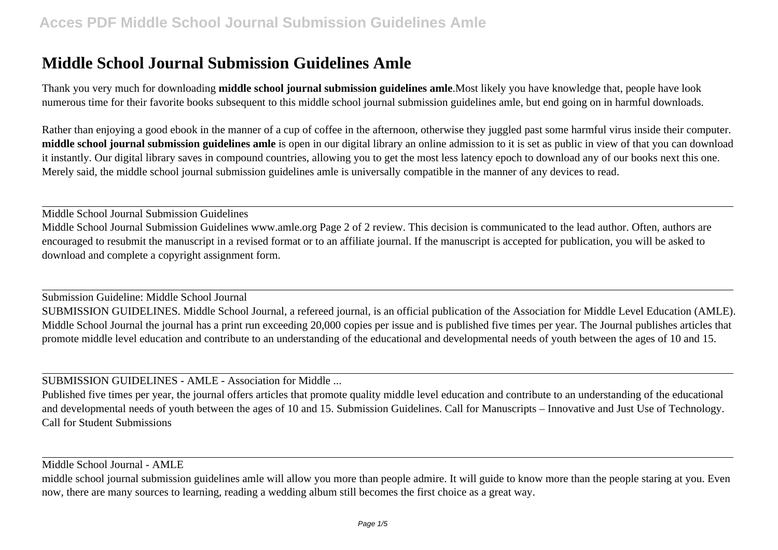## **Middle School Journal Submission Guidelines Amle**

Thank you very much for downloading **middle school journal submission guidelines amle**.Most likely you have knowledge that, people have look numerous time for their favorite books subsequent to this middle school journal submission guidelines amle, but end going on in harmful downloads.

Rather than enjoying a good ebook in the manner of a cup of coffee in the afternoon, otherwise they juggled past some harmful virus inside their computer. **middle school journal submission guidelines amle** is open in our digital library an online admission to it is set as public in view of that you can download it instantly. Our digital library saves in compound countries, allowing you to get the most less latency epoch to download any of our books next this one. Merely said, the middle school journal submission guidelines amle is universally compatible in the manner of any devices to read.

Middle School Journal Submission Guidelines Middle School Journal Submission Guidelines www.amle.org Page 2 of 2 review. This decision is communicated to the lead author. Often, authors are encouraged to resubmit the manuscript in a revised format or to an affiliate journal. If the manuscript is accepted for publication, you will be asked to download and complete a copyright assignment form.

Submission Guideline: Middle School Journal SUBMISSION GUIDELINES. Middle School Journal, a refereed journal, is an official publication of the Association for Middle Level Education (AMLE). Middle School Journal the journal has a print run exceeding 20,000 copies per issue and is published five times per year. The Journal publishes articles that promote middle level education and contribute to an understanding of the educational and developmental needs of youth between the ages of 10 and 15.

SUBMISSION GUIDELINES - AMLE - Association for Middle ...

Published five times per year, the journal offers articles that promote quality middle level education and contribute to an understanding of the educational and developmental needs of youth between the ages of 10 and 15. Submission Guidelines. Call for Manuscripts – Innovative and Just Use of Technology. Call for Student Submissions

Middle School Journal - AMLE

middle school journal submission guidelines amle will allow you more than people admire. It will guide to know more than the people staring at you. Even now, there are many sources to learning, reading a wedding album still becomes the first choice as a great way.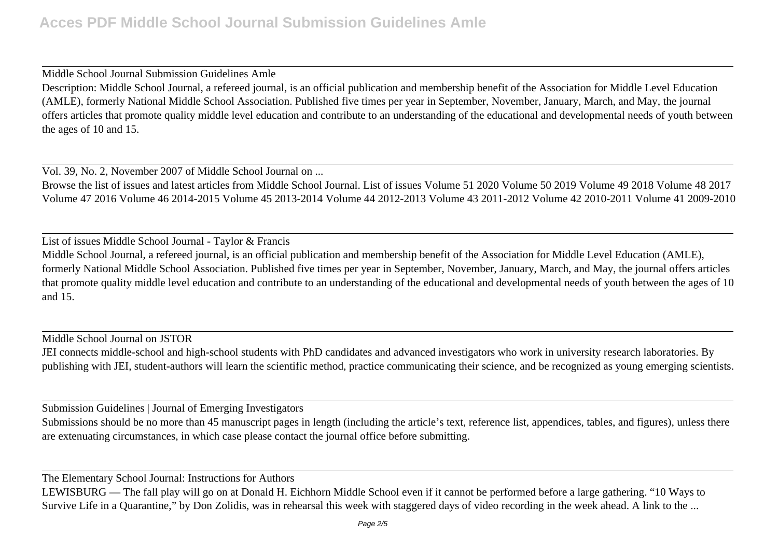Middle School Journal Submission Guidelines Amle Description: Middle School Journal, a refereed journal, is an official publication and membership benefit of the Association for Middle Level Education (AMLE), formerly National Middle School Association. Published five times per year in September, November, January, March, and May, the journal offers articles that promote quality middle level education and contribute to an understanding of the educational and developmental needs of youth between the ages of 10 and 15.

Vol. 39, No. 2, November 2007 of Middle School Journal on ...

Browse the list of issues and latest articles from Middle School Journal. List of issues Volume 51 2020 Volume 50 2019 Volume 49 2018 Volume 48 2017 Volume 47 2016 Volume 46 2014-2015 Volume 45 2013-2014 Volume 44 2012-2013 Volume 43 2011-2012 Volume 42 2010-2011 Volume 41 2009-2010

List of issues Middle School Journal - Taylor & Francis

Middle School Journal, a refereed journal, is an official publication and membership benefit of the Association for Middle Level Education (AMLE), formerly National Middle School Association. Published five times per year in September, November, January, March, and May, the journal offers articles that promote quality middle level education and contribute to an understanding of the educational and developmental needs of youth between the ages of 10 and 15.

Middle School Journal on JSTOR

JEI connects middle-school and high-school students with PhD candidates and advanced investigators who work in university research laboratories. By publishing with JEI, student-authors will learn the scientific method, practice communicating their science, and be recognized as young emerging scientists.

Submission Guidelines | Journal of Emerging Investigators

Submissions should be no more than 45 manuscript pages in length (including the article's text, reference list, appendices, tables, and figures), unless there are extenuating circumstances, in which case please contact the journal office before submitting.

The Elementary School Journal: Instructions for Authors

LEWISBURG — The fall play will go on at Donald H. Eichhorn Middle School even if it cannot be performed before a large gathering. "10 Ways to Survive Life in a Quarantine," by Don Zolidis, was in rehearsal this week with staggered days of video recording in the week ahead. A link to the ...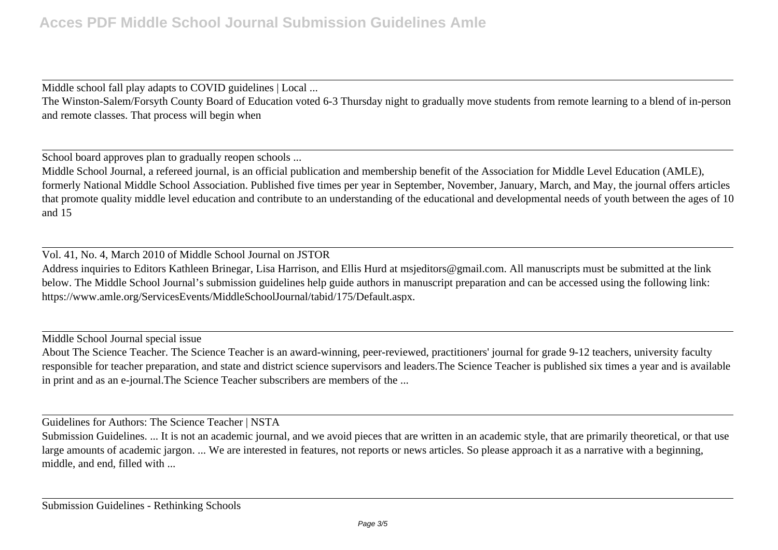Middle school fall play adapts to COVID guidelines | Local ...

The Winston-Salem/Forsyth County Board of Education voted 6-3 Thursday night to gradually move students from remote learning to a blend of in-person and remote classes. That process will begin when

School board approves plan to gradually reopen schools ...

Middle School Journal, a refereed journal, is an official publication and membership benefit of the Association for Middle Level Education (AMLE), formerly National Middle School Association. Published five times per year in September, November, January, March, and May, the journal offers articles that promote quality middle level education and contribute to an understanding of the educational and developmental needs of youth between the ages of 10 and 15

Vol. 41, No. 4, March 2010 of Middle School Journal on JSTOR Address inquiries to Editors Kathleen Brinegar, Lisa Harrison, and Ellis Hurd at msjeditors@gmail.com. All manuscripts must be submitted at the link below. The Middle School Journal's submission guidelines help guide authors in manuscript preparation and can be accessed using the following link: https://www.amle.org/ServicesEvents/MiddleSchoolJournal/tabid/175/Default.aspx.

Middle School Journal special issue

About The Science Teacher. The Science Teacher is an award-winning, peer-reviewed, practitioners' journal for grade 9-12 teachers, university faculty responsible for teacher preparation, and state and district science supervisors and leaders.The Science Teacher is published six times a year and is available in print and as an e-journal.The Science Teacher subscribers are members of the ...

Guidelines for Authors: The Science Teacher | NSTA

Submission Guidelines. ... It is not an academic journal, and we avoid pieces that are written in an academic style, that are primarily theoretical, or that use large amounts of academic jargon. ... We are interested in features, not reports or news articles. So please approach it as a narrative with a beginning, middle, and end, filled with ...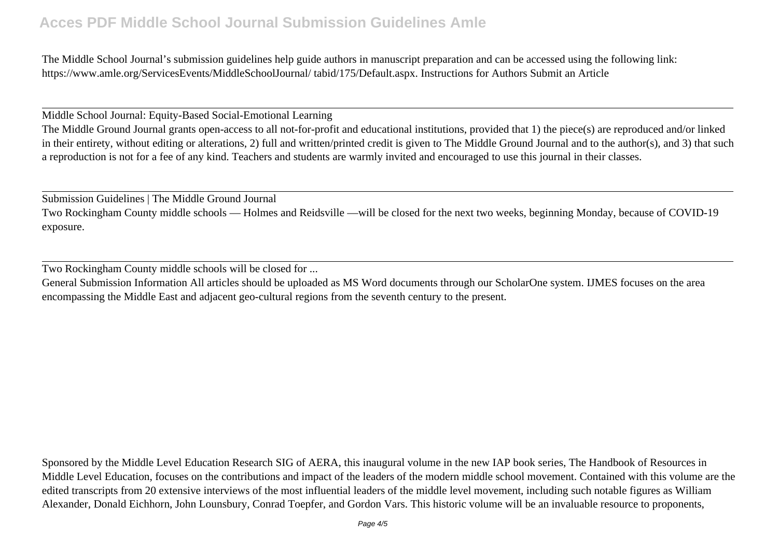## **Acces PDF Middle School Journal Submission Guidelines Amle**

The Middle School Journal's submission guidelines help guide authors in manuscript preparation and can be accessed using the following link: https://www.amle.org/ServicesEvents/MiddleSchoolJournal/ tabid/175/Default.aspx. Instructions for Authors Submit an Article

Middle School Journal: Equity-Based Social-Emotional Learning

The Middle Ground Journal grants open-access to all not-for-profit and educational institutions, provided that 1) the piece(s) are reproduced and/or linked in their entirety, without editing or alterations, 2) full and written/printed credit is given to The Middle Ground Journal and to the author(s), and 3) that such a reproduction is not for a fee of any kind. Teachers and students are warmly invited and encouraged to use this journal in their classes.

Submission Guidelines | The Middle Ground Journal

Two Rockingham County middle schools — Holmes and Reidsville —will be closed for the next two weeks, beginning Monday, because of COVID-19 exposure.

Two Rockingham County middle schools will be closed for ...

General Submission Information All articles should be uploaded as MS Word documents through our ScholarOne system. IJMES focuses on the area encompassing the Middle East and adjacent geo-cultural regions from the seventh century to the present.

Sponsored by the Middle Level Education Research SIG of AERA, this inaugural volume in the new IAP book series, The Handbook of Resources in Middle Level Education, focuses on the contributions and impact of the leaders of the modern middle school movement. Contained with this volume are the edited transcripts from 20 extensive interviews of the most influential leaders of the middle level movement, including such notable figures as William Alexander, Donald Eichhorn, John Lounsbury, Conrad Toepfer, and Gordon Vars. This historic volume will be an invaluable resource to proponents,